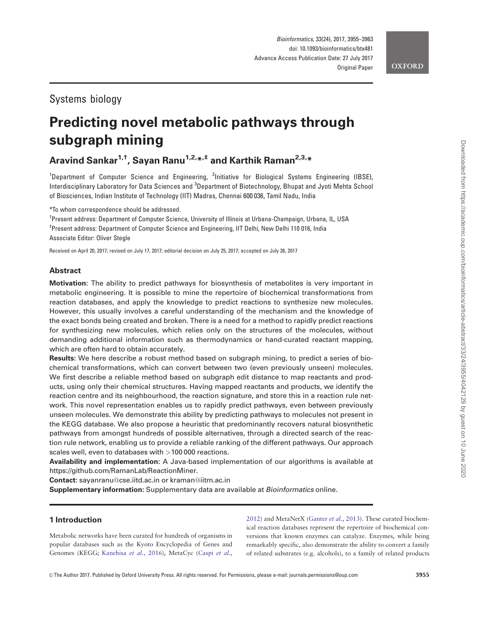## Systems biology

# Predicting novel metabolic pathways through subgraph mining

Aravind Sankar<sup>1,†</sup>, Sayan Ranu<sup>1,2,\*,‡</sup> and Karthik Raman<sup>2,3,\*</sup>

<sup>1</sup>Department of Computer Science and Engineering, <sup>2</sup>Initiative for Biological Systems Engineering (IBSE), Interdisciplinary Laboratory for Data Sciences and <sup>3</sup>Department of Biotechnology, Bhupat and Jyoti Mehta School of Biosciences, Indian Institute of Technology (IIT) Madras, Chennai 600 036, Tamil Nadu, India

\*To whom correspondence should be addressed.

<sup>†</sup> Present address: Department of Computer Science, University of Illinois at Urbana-Champaign, Urbana, IL, USA ‡ Present address: Department of Computer Science and Engineering, IIT Delhi, New Delhi 110 016, India Associate Editor: Oliver Stegle

Received on April 20, 2017; revised on July 17, 2017; editorial decision on July 25, 2017; accepted on July 26, 2017

### Abstract

Motivation: The ability to predict pathways for biosynthesis of metabolites is very important in metabolic engineering. It is possible to mine the repertoire of biochemical transformations from reaction databases, and apply the knowledge to predict reactions to synthesize new molecules. However, this usually involves a careful understanding of the mechanism and the knowledge of the exact bonds being created and broken. There is a need for a method to rapidly predict reactions for synthesizing new molecules, which relies only on the structures of the molecules, without demanding additional information such as thermodynamics or hand-curated reactant mapping, which are often hard to obtain accurately.

Results: We here describe a robust method based on subgraph mining, to predict a series of biochemical transformations, which can convert between two (even previously unseen) molecules. We first describe a reliable method based on subgraph edit distance to map reactants and products, using only their chemical structures. Having mapped reactants and products, we identify the reaction centre and its neighbourhood, the reaction signature, and store this in a reaction rule network. This novel representation enables us to rapidly predict pathways, even between previously unseen molecules. We demonstrate this ability by predicting pathways to molecules not present in the KEGG database. We also propose a heuristic that predominantly recovers natural biosynthetic pathways from amongst hundreds of possible alternatives, through a directed search of the reaction rule network, enabling us to provide a reliable ranking of the different pathways. Our approach scales well, even to databases with >100 000 reactions.

Availability and implementation: A Java-based implementation of our algorithms is available at [https://github.com/RamanLab/ReactionMiner.](https://github.com/RamanLab/ReactionMiner)

Contact: sayanranu@cse.iitd.ac.in or kraman@iitm.ac.in

Supplementary information: Supplementary data are available at Bioinformatics online.

### 1 Introduction

Metabolic networks have been curated for hundreds of organisms in popular databases such as the Kyoto Encyclopedia of Genes and Genomes (KEGG; [Kanehisa](#page-8-0) et al., 2016), MetaCyc [\(Caspi](#page-8-0) et al., [2012\)](#page-8-0) and MetaNetX ([Ganter](#page-8-0) et al., 2013). These curated biochemical reaction databases represent the repertoire of biochemical conversions that known enzymes can catalyze. Enzymes, while being remarkably specific, also demonstrate the ability to convert a family of related substrates (e.g. alcohols), to a family of related products

Downloaded from https://academic.oup.com/bioinformatics/article-abstract/33/24/3955/4042129 by guest on 10 June 2020

Downloaded from https://academic.oup.com/bioinformatics/article-abstract/33/24/3955/4042129 by guest on 10 June 2020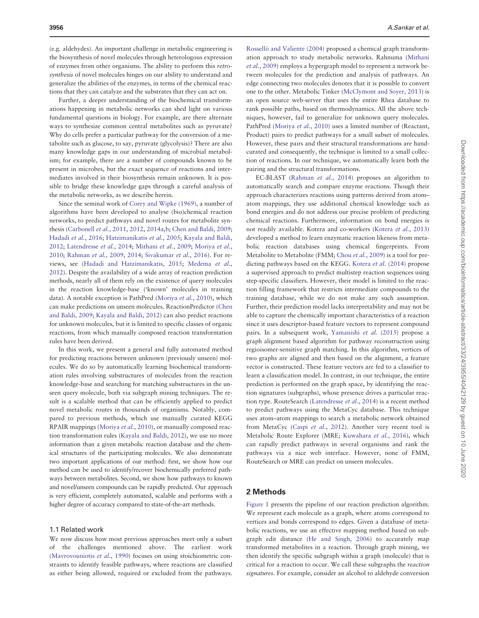(e.g. aldehydes). An important challenge in metabolic engineering is the biosynthesis of novel molecules through heterologous expression of enzymes from other organisms. The ability to perform this retrosynthesis of novel molecules hinges on our ability to understand and generalize the abilities of the enzymes, in terms of the chemical reactions that they can catalyze and the substrates that they can act on.

Further, a deeper understanding of the biochemical transformations happening in metabolic networks can shed light on various fundamental questions in biology. For example, are there alternate ways to synthesize common central metabolites such as pyruvate? Why do cells prefer a particular pathway for the conversion of a metabolite such as glucose, to say, pyruvate (glycolysis)? There are also many knowledge gaps in our understanding of microbial metabolism; for example, there are a number of compounds known to be present in microbes, but the exact sequence of reactions and intermediates involved in their biosynthesis remain unknown. It is possible to bridge these knowledge gaps through a careful analysis of the metabolic networks, as we describe herein.

Since the seminal work of [Corey and Wipke \(1969\),](#page-8-0) a number of algorithms have been developed to analyse (bio)chemical reaction networks, to predict pathways and novel routes for metabolite synthesis ([Carbonell](#page-8-0) et al., 2011, [2012](#page-8-0), [2014a](#page-8-0),[b](#page-8-0); [Chen and Baldi, 2009;](#page-8-0) [Hadadi](#page-8-0) et al., 2016; [Hatzimanikatis](#page-8-0) et al., 2005; [Kayala and Baldi,](#page-8-0) [2012;](#page-8-0) [Latendresse](#page-8-0) et al., 2014; [Mithani](#page-8-0) et al., 2009; [Moriya](#page-8-0) et al., [2010;](#page-8-0) [Rahman](#page-8-0) et al., 200[9, 2014;](#page-8-0) [Sivakumar](#page-8-0) et al., 2016). For reviews, see [\(Hadadi and Hatzimanikatis, 2015](#page-8-0); [Medema](#page-8-0) et al., [2012\)](#page-8-0). Despite the availability of a wide array of reaction prediction methods, nearly all of them rely on the existence of query molecules in the reaction knowledge-base ('known' molecules in training data). A notable exception is PathPred [\(Moriya](#page-8-0) et al., 2010), which can make predictions on unseen molecules. ReactionPredictor [\(Chen](#page-8-0) [and Baldi, 2009](#page-8-0); [Kayala and Baldi, 2012](#page-8-0)) can also predict reactions for unknown molecules, but it is limited to specific classes of organic reactions, from which manually composed reaction transformation rules have been derived.

In this work, we present a general and fully automated method for predicting reactions between unknown (previously unseen) molecules. We do so by automatically learning biochemical transformation rules involving substructures of molecules from the reaction knowledge-base and searching for matching substructures in the unseen query molecule, both via subgraph mining techniques. The result is a scalable method that can be efficiently applied to predict novel metabolic routes in thousands of organisms. Notably, compared to previous methods, which use manually curated KEGG RPAIR mappings [\(Moriya](#page-8-0) et al., 2010), or manually composed reaction transformation rules [\(Kayala and Baldi, 2012\)](#page-8-0), we use no more information than a given metabolic reaction database and the chemical structures of the participating molecules. We also demonstrate two important applications of our method: first, we show how our method can be used to identify/recover biochemically preferred pathways between metabolites. Second, we show how pathways to known and novel/unseen compounds can be rapidly predicted. Our approach is very efficient, completely automated, scalable and performs with a higher degree of accuracy compared to state-of-the-art methods.

### 1.1 Related work

We now discuss how most previous approaches meet only a subset of the challenges mentioned above. The earliest work ([Mavrovouniotis](#page-8-0) et al., 1990) focuses on using stoichiometric constraints to identify feasible pathways, where reactions are classified as either being allowed, required or excluded from the pathways.

Rosselló and Valiente (2004) proposed a chemical graph transformation approach to study metabolic networks. Rahnuma [\(Mithani](#page-8-0) et al.[, 2009\)](#page-8-0) employs a hypergraph model to represent a network between molecules for the prediction and analysis of pathways. An edge connecting two molecules denotes that it is possible to convert one to the other. Metabolic Tinker [\(McClymont and Soyer, 2013\)](#page-8-0) is an open source web-server that uses the entire Rhea database to rank possible paths, based on thermodynamics. All the above techniques, however, fail to generalize for unknown query molecules. PathPred [\(Moriya](#page-8-0) et al., 2010) uses a limited number of (Reactant, Product) pairs to predict pathways for a small subset of molecules. However, these pairs and their structural transformations are handcurated and consequently, the technique is limited to a small collection of reactions. In our technique, we automatically learn both the pairing and the structural transformations.

EC-BLAST [\(Rahman](#page-8-0) et al., 2014) proposes an algorithm to automatically search and compare enzyme reactions. Though their approach characterizes reactions using patterns derived from atom– atom mappings, they use additional chemical knowledge such as bond energies and do not address our precise problem of predicting chemical reactions. Furthermore, information on bond energies is not readily available. Kotera and co-workers [\(Kotera](#page-8-0) et al., 2013) developed a method to learn enzymatic reaction likeness from metabolic reaction databases using chemical fingerprints. From Metabolite to Metabolite (FMM; Chou et al.[, 2009\)](#page-8-0) is a tool for predicting pathways based on the KEGG. [Kotera](#page-8-0) et al. (2014) propose a supervised approach to predict multistep reaction sequences using step-specific classifiers. However, their model is limited to the reaction filling framework that restricts intermediate compounds to the training database, while we do not make any such assumption. Further, their prediction model lacks interpretability and may not be able to capture the chemically important characteristics of a reaction since it uses descriptor-based feature vectors to represent compound pairs. In a subsequent work, [Yamanishi](#page-8-0) et al. (2015) propose a graph alignment based algorithm for pathway reconstruction using regioisomer-sensitive graph matching. In this algorithm, vertices of two graphs are aligned and then based on the alignment, a feature vector is constructed. These feature vectors are fed to a classifier to learn a classification model. In contrast, in our technique, the entire prediction is performed on the graph space, by identifying the reaction signatures (subgraphs), whose presence drives a particular reaction type. RouteSearch ([Latendresse](#page-8-0) et al., 2014) is a recent method to predict pathways using the MetaCyc database. This technique uses atom–atom mappings to search a metabolic network obtained from MetaCyc (Caspi et al.[, 2012\)](#page-8-0). Another very recent tool is Metabolic Route Explorer (MRE; [Kuwahara](#page-8-0) et al., 2016), which can rapidly predict pathways in several organisms and rank the pathways via a nice web interface. However, none of FMM, RouteSearch or MRE can predict on unseen molecules.

### 2 Methods

[Figure 1](#page-2-0) presents the pipeline of our reaction prediction algorithm. We represent each molecule as a graph, where atoms correspond to vertices and bonds correspond to edges. Given a database of metabolic reactions, we use an effective mapping method based on subgraph edit distance ([He and Singh, 2006\)](#page-8-0) to accurately map transformed metabolites in a reaction. Through graph mining, we then identify the specific subgraph within a graph (molecule) that is critical for a reaction to occur. We call these subgraphs the reaction signatures. For example, consider an alcohol to aldehyde conversion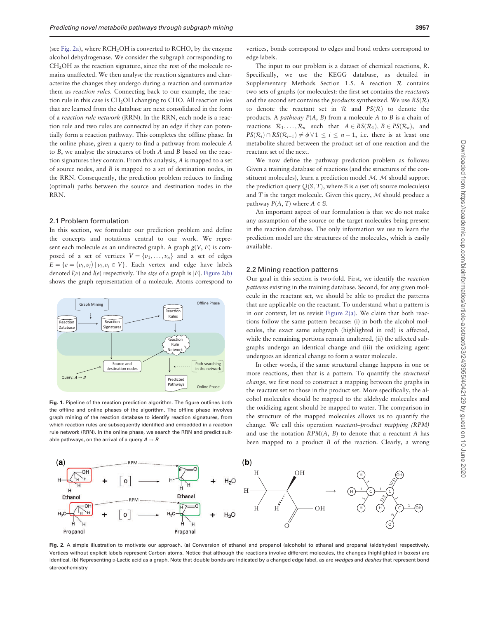<span id="page-2-0"></span>(see Fig. 2a), where  $RCH<sub>2</sub>OH$  is converted to  $RCHO$ , by the enzyme alcohol dehydrogenase. We consider the subgraph corresponding to CH<sub>2</sub>OH as the reaction signature, since the rest of the molecule remains unaffected. We then analyse the reaction signatures and characterize the changes they undergo during a reaction and summarize them as reaction rules. Connecting back to our example, the reaction rule in this case is CH2OH changing to CHO. All reaction rules that are learned from the database are next consolidated in the form of a reaction rule network (RRN). In the RRN, each node is a reaction rule and two rules are connected by an edge if they can potentially form a reaction pathway. This completes the offline phase. In the online phase, given a query to find a pathway from molecule A to B, we analyse the structures of both A and B based on the reaction signatures they contain. From this analysis, A is mapped to a set of source nodes, and B is mapped to a set of destination nodes, in the RRN. Consequently, the prediction problem reduces to finding (optimal) paths between the source and destination nodes in the RRN.

### 2.1 Problem formulation

In this section, we formulate our prediction problem and define the concepts and notations central to our work. We represent each molecule as an undirected graph. A graph  $g(V, E)$  is composed of a set of vertices  $V = \{v_1, \ldots, v_n\}$  and a set of edges  $E = \{e = (v_i, v_j) | v_i, v_j \in V\}$ . Each vertex and edge have labels denoted  $l(v)$  and  $l(e)$  respectively. The *size* of a graph is  $|E|$ . Figure 2(b) shows the graph representation of a molecule. Atoms correspond to



Fig. 1. Pipeline of the reaction prediction algorithm. The figure outlines both the offline and online phases of the algorithm. The offline phase involves graph mining of the reaction database to identify reaction signatures, from which reaction rules are subsequently identified and embedded in a reaction rule network (RRN). In the online phase, we search the RRN and predict suitable pathways, on the arrival of a query  $A \rightarrow B$ 

vertices, bonds correspond to edges and bond orders correspond to edge labels.

The input to our problem is a dataset of chemical reactions, R. Specifically, we use the KEGG database, as detailed in Supplementary Methods Section 1.5. A reaction R contains two sets of graphs (or molecules): the first set contains the reactants and the second set contains the *products* synthesized. We use  $RS(\mathcal{R})$ to denote the reactant set in  $R$  and  $PS(R)$  to denote the products. A *pathway*  $P(A, B)$  from a molecule A to B is a chain of reactions  $\mathcal{R}_1, \ldots, \mathcal{R}_n$  such that  $A \in RS(\mathcal{R}_1), B \in PS(\mathcal{R}_n)$ , and  $PS(\mathcal{R}_i) \cap RS(\mathcal{R}_{i+1}) \neq \emptyset \,\forall \, 1 \leq i \leq n-1$ , i.e. there is at least one metabolite shared between the product set of one reaction and the reactant set of the next.

We now define the pathway prediction problem as follows: Given a training database of reactions (and the structures of the constituent molecules), learn a prediction model M. M should support the prediction query  $Q(S, T)$ , where S is a (set of) source molecule(s) and  $T$  is the target molecule. Given this query,  $M$  should produce a pathway  $P(A, T)$  where  $A \in \mathbb{S}$ .

An important aspect of our formulation is that we do not make any assumption of the source or the target molecules being present in the reaction database. The only information we use to learn the prediction model are the structures of the molecules, which is easily available.

### 2.2 Mining reaction patterns

Our goal in this section is two-fold. First, we identify the reaction patterns existing in the training database. Second, for any given molecule in the reactant set, we should be able to predict the patterns that are applicable on the reactant. To understand what a pattern is in our context, let us revisit Figure 2(a). We claim that both reactions follow the same pattern because: (i) in both the alcohol molecules, the exact same subgraph (highlighted in red) is affected, while the remaining portions remain unaltered, (ii) the affected subgraphs undergo an identical change and (iii) the oxidizing agent undergoes an identical change to form a water molecule.

In other words, if the same structural change happens in one or more reactions, then that is a pattern. To quantify the structural change, we first need to construct a mapping between the graphs in the reactant set to those in the product set. More specifically, the alcohol molecules should be mapped to the aldehyde molecules and the oxidizing agent should be mapped to water. The comparison in the structure of the mapped molecules allows us to quantify the change. We call this operation reactant–product mapping (RPM) and use the notation  $RPM(A, B)$  to denote that a reactant A has been mapped to a product B of the reaction. Clearly, a wrong



Fig. 2. A simple illustration to motivate our approach. (a) Conversion of ethanol and propanol (alcohols) to ethanal and propanal (aldehydes) respectively. Vertices without explicit labels represent Carbon atoms. Notice that although the reactions involve different molecules, the changes (highlighted in boxes) are identical. (b) Representing p-Lactic acid as a graph. Note that double bonds are indicated by a changed edge label, as are wedges and dashes that represent bond stereochemistry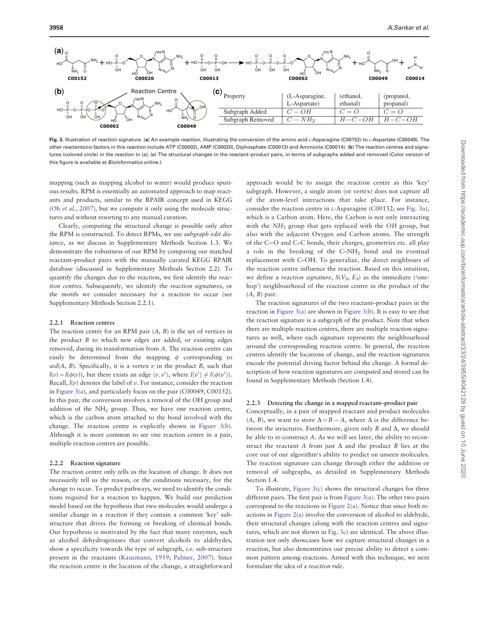<span id="page-3-0"></span>

Fig. 3. Illustration of reaction signature. (a) An example reaction, illustrating the conversion of the amino acid L-Asparagine (C00152) to L-Aspartate (C00049). The other reactants/co-factors in this reaction include ATP (C00002), AMP (C00020), Diphosphate (C00013) and Ammonia (C00014). (b) The reaction centres and signatures (colored circle) in the reaction in (a). (c) The structural changes in the reactant–product pairs, in terms of subgraphs added and removed (Color version of this figure is available at *Bioinformatics* online.)

mapping (such as mapping alcohol to water) would produce spurious results. RPM is essentially an automated approach to map reactants and products, similar to the RPAIR concept used in KEGG (Oh et al.[, 2007](#page-8-0)), but we compute it only using the molecule structures and without resorting to any manual curation.

Clearly, computing the structural change is possible only after the RPM is constructed. To detect RPMs, we use subgraph edit distance, as we discuss in Supplementary Methods Section 1.3. We demonstrate the robustness of our RPM by comparing our matched reactant–product pairs with the manually curated KEGG RPAIR database (discussed in Supplementary Methods Section 2.2). To quantify the changes due to the reaction, we first identify the reaction centres. Subsequently, we identify the reaction signatures, or the motifs we consider necessary for a reaction to occur (see Supplementary Methods Section 2.2.1).

### 2.2.1 Reaction centres

The reaction centre for an RPM pair  $(A, B)$  is the set of vertices in the product B to which new edges are added, or existing edges removed, during its transformation from A. The reaction centre can easily be determined from the mapping  $\phi$  corresponding to sed(A, B). Specifically, it is a vertex  $\nu$  in the product B, such that  $l(v) = l(\phi(v))$ , but there exists an edge  $(v, v')$ , where  $l(v') \neq l(\phi(v'))$ . Recall,  $l(v)$  denotes the label of  $v$ . For instance, consider the reaction in Figure 3(a), and particularly focus on the pair (C00049, C00152). In this pair, the conversion involves a removal of the OH group and addition of the NH2 group. Thus, we have one reaction centre, which is the carbon atom attached to the bond involved with the change. The reaction centre is explicitly shown in Figure 3(b). Although it is more common to see one reaction centre in a pair, multiple reaction centres are possible.

### 2.2.2 Reaction signature

The reaction centre only tells us the location of change. It does not necessarily tell us the reason, or the conditions necessary, for the change to occur. To predict pathways, we need to identify the conditions required for a reaction to happen. We build our prediction model based on the hypothesis that two molecules would undergo a similar change in a reaction if they contain a common 'key' substructure that drives the forming or breaking of chemical bonds. Our hypothesis is motivated by the fact that many enzymes, such as alcohol dehydrogenases that convert alcohols to aldehydes, show a specificity towards the type of subgraph, i.e. sub-structure present in the reactants ([Kauzmann, 1959](#page-8-0); [Palmer, 2007](#page-8-0)). Since the reaction centre is the location of the change, a straightforward

approach would be to assign the reaction centre as this 'key' subgraph. However, a single atom (or vertex) does not capture all of the atom-level interactions that take place. For instance, consider the reaction centre in L-Asparagine (C00152; see Fig. 3a), which is a Carbon atom. Here, the Carbon is not only interacting with the  $NH<sub>2</sub>$  group that gets replaced with the OH group, but also with the adjacent Oxygen and Carbon atoms. The strength of the C=O and C–C bonds, their charges, geometries etc. all play a role in the breaking of the C–NH2 bond and its eventual replacement with C–OH. To generalize, the direct neighbours of the reaction centre influence the reaction. Based on this intuition, we define a *reaction signature*,  $S(V_S, E_S)$  as the immediate ('onehop') neighbourhood of the reaction centre in the product of the  $(A, B)$  pair.

The reaction signatures of the two reactant–product pairs in the reaction in Figure 3(a) are shown in Figure 3(b). It is easy to see that the reaction signature is a subgraph of the product. Note that when there are multiple reaction centres, there are multiple reaction signatures as well, where each signature represents the neighbourhood around the corresponding reaction centre. In general, the reaction centres identify the locations of change, and the reaction signatures encode the potential driving factor behind the change. A formal description of how reaction signatures are computed and stored can be found in Supplementary Methods (Section 1.4).

### 2.2.3 Detecting the change in a mapped reactant–product pair

Conceptually, in a pair of mapped reactant and product molecules  $(A, B)$ , we want to store  $\Delta = B - A$ , where  $\Delta$  is the difference between the structures. Furthermore, given only  $B$  and  $\Delta$ , we should be able to re-construct A. As we will see later, the ability to reconstruct the reactant A from just  $\Delta$  and the product B lies at the core our of our algorithm's ability to predict on unseen molecules. The reaction signature can change through either the addition or removal of subgraphs, as detailed in Supplementary Methods Section 1.4.

To illustrate, Figure 3(c) shows the structural changes for three different pairs. The first pair is from Figure 3(a). The other two pairs correspond to the reactions in [Figure 2\(a\)](#page-2-0). Notice that since both reactions in [Figure 2\(a\)](#page-2-0) involve the conversion of alcohol to aldehyde, their structural changes (along with the reaction centres and signatures, which are not shown in Fig. 3c) are identical. The above illustration not only showcases how we capture structural changes in a reaction, but also demonstrates our precise ability to detect a common pattern among reactions. Armed with this technique, we next formulate the idea of a reaction rule.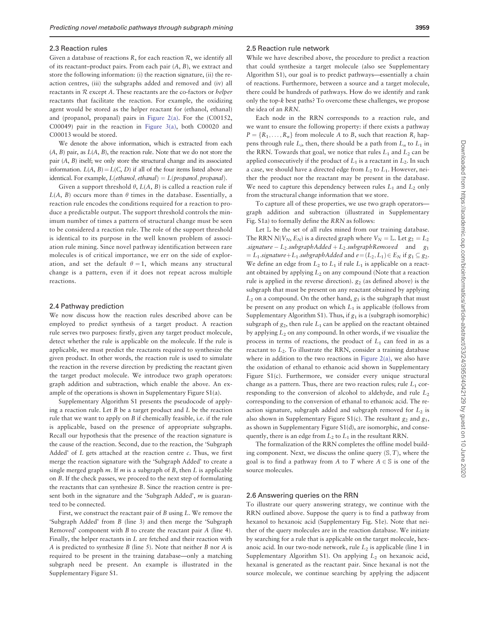### 2.3 Reaction rules

Given a database of reactions  $R$ , for each reaction  $R$ , we identify all of its reactant–product pairs. From each pair  $(A, B)$ , we extract and store the following information: (i) the reaction signature, (ii) the reaction centres, (iii) the subgraphs added and removed and (iv) all reactants in  $R$  except  $A$ . These reactants are the co-factors or *helper* reactants that facilitate the reaction. For example, the oxidizing agent would be stored as the helper reactant for (ethanol, ethanal) and (propanol, propanal) pairs in [Figure 2\(a\)](#page-2-0). For the (C00152, C00049) pair in the reaction in [Figure 3\(a\)](#page-3-0), both C00020 and C00013 would be stored.

We denote the above information, which is extracted from each  $(A, B)$  pair, as  $L(A, B)$ , the reaction rule. Note that we do not store the pair (A, B) itself; we only store the structural change and its associated information.  $L(A, B) = L(C, D)$  if all of the four items listed above are identical. For example,  $L(ethanol,ethanal) = L(propanol,propanal)$ .

Given a support threshold  $\theta$ ,  $L(A, B)$  is called a reaction rule if  $L(A, B)$  occurs more than  $\theta$  times in the database. Essentially, a reaction rule encodes the conditions required for a reaction to produce a predictable output. The support threshold controls the minimum number of times a pattern of structural change must be seen to be considered a reaction rule. The role of the support threshold is identical to its purpose in the well known problem of association rule mining. Since novel pathway identification between rare molecules is of critical importance, we err on the side of exploration, and set the default  $\theta = 1$ , which means any structural change is a pattern, even if it does not repeat across multiple reactions.

### 2.4 Pathway prediction

We now discuss how the reaction rules described above can be employed to predict synthesis of a target product. A reaction rule serves two purposes: firstly, given any target product molecule, detect whether the rule is applicable on the molecule. If the rule is applicable, we must predict the reactants required to synthesize the given product. In other words, the reaction rule is used to simulate the reaction in the reverse direction by predicting the reactant given the target product molecule. We introduce two graph operators: graph addition and subtraction, which enable the above. An example of the operations is shown in Supplementary Figure S1(a).

Supplementary Algorithm S1 presents the pseudocode of applying a reaction rule. Let  $B$  be a target product and  $L$  be the reaction rule that we want to apply on B if chemically feasible, i.e. if the rule is applicable, based on the presence of appropriate subgraphs. Recall our hypothesis that the presence of the reaction signature is the cause of the reaction. Second, due to the reaction, the 'Subgraph Added' of  $L$  gets attached at the reaction centre  $c$ . Thus, we first merge the reaction signature with the 'Subgraph Added' to create a single merged graph  $m$ . If  $m$  is a subgraph of  $B$ , then  $L$  is applicable on B. If the check passes, we proceed to the next step of formulating the reactants that can synthesize B. Since the reaction centre is present both in the signature and the 'Subgraph Added', m is guaranteed to be connected.

First, we construct the reactant pair of B using L. We remove the 'Subgraph Added' from B (line 3) and then merge the 'Subgraph Removed' component with  $B$  to create the reactant pair  $A$  (line 4). Finally, the helper reactants in L are fetched and their reaction with A is predicted to synthesize  $B$  (line 5). Note that neither  $B$  nor  $A$  is required to be present in the training database—only a matching subgraph need be present. An example is illustrated in the Supplementary Figure S1.

### 2.5 Reaction rule network

While we have described above, the procedure to predict a reaction that could synthesize a target molecule (also see Supplementary Algorithm S1), our goal is to predict pathways—essentially a chain of reactions. Furthermore, between a source and a target molecule, there could be hundreds of pathways. How do we identify and rank only the top-k best paths? To overcome these challenges, we propose the idea of an RRN.

Each node in the RRN corresponds to a reaction rule, and we want to ensure the following property: if there exists a pathway  $P = \{R_1, \ldots, R_n\}$  from molecule A to B, such that reaction  $R_i$  happens through rule  $L_i$ , then, there should be a path from  $L_n$  to  $L_1$  in the RRN. Towards that goal, we notice that rules  $L_1$  and  $L_2$  can be applied consecutively if the product of  $L_1$  is a reactant in  $L_2$ . In such a case, we should have a directed edge from  $L_2$  to  $L_1$ . However, neither the product nor the reactant may be present in the database. We need to capture this dependency between rules  $L_1$  and  $L_2$  only from the structural change information that we store.

To capture all of these properties, we use two graph operators graph addition and subtraction (illustrated in Supplementary Fig. S1a) to formally define the RRN as follows:

Let  $\mathbb L$  be the set of all rules mined from our training database. The RRN  $N(V_N, E_N)$  is a directed graph where  $V_N = \mathbb{L}$ . Let  $g_2 = L_2$ .signature  $-L_2$ .subgraphAdded  $+ L_2$ .subgraphRemoved and g<sub>1</sub>  $= L_1$ .signature +  $L_1$ .subgraphAdded and  $e = (L_2, L_1) \in E_N$  if  $g_1 \subseteq g_2$ . We define an edge from  $L_2$  to  $L_1$  if rule  $L_1$  is applicable on a reactant obtained by applying  $L_2$  on any compound (Note that a reaction rule is applied in the reverse direction).  $g_2$  (as defined above) is the subgraph that must be present on any reactant obtained by applying  $L_2$  on a compound. On the other hand,  $g_1$  is the subgraph that must be present on any product on which  $L_1$  is applicable (follows from Supplementary Algorithm S1). Thus, if  $g_1$  is a (subgraph isomorphic) subgraph of  $g_2$ , then rule  $L_1$  can be applied on the reactant obtained by applying  $L_2$  on any compound. In other words, if we visualize the process in terms of reactions, the product of  $L_1$  can feed in as a reactant to  $L_2$ . To illustrate the RRN, consider a training database where in addition to the two reactions in [Figure 2\(a\)](#page-2-0), we also have the oxidation of ethanal to ethanoic acid shown in Supplementary Figure S1(c). Furthermore, we consider every unique structural change as a pattern. Thus, there are two reaction rules; rule  $L_1$  corresponding to the conversion of alcohol to aldehyde, and rule  $L_2$ corresponding to the conversion of ethanal to ethanoic acid. The reaction signature, subgraph added and subgraph removed for  $L_2$  is also shown in Supplementary Figure S1(c). The resultant  $g_2$  and  $g_1$ , as shown in Supplementary Figure S1(d), are isomorphic, and consequently, there is an edge from  $L_2$  to  $L_1$  in the resultant RRN.

The formalization of the RRN completes the offline model building component. Next, we discuss the online query  $(S, T)$ , where the goal is to find a pathway from A to T where  $A \in \mathbb{S}$  is one of the source molecules.

### 2.6 Answering queries on the RRN

To illustrate our query answering strategy, we continue with the RRN outlined above. Suppose the query is to find a pathway from hexanol to hexanoic acid (Supplementary Fig. S1e). Note that neither of the query molecules are in the reaction database. We initiate by searching for a rule that is applicable on the target molecule, hexanoic acid. In our two-node network, rule  $L_2$  is applicable (line 1 in Supplementary Algorithm S1). On applying  $L_2$  on hexanoic acid, hexanal is generated as the reactant pair. Since hexanal is not the source molecule, we continue searching by applying the adjacent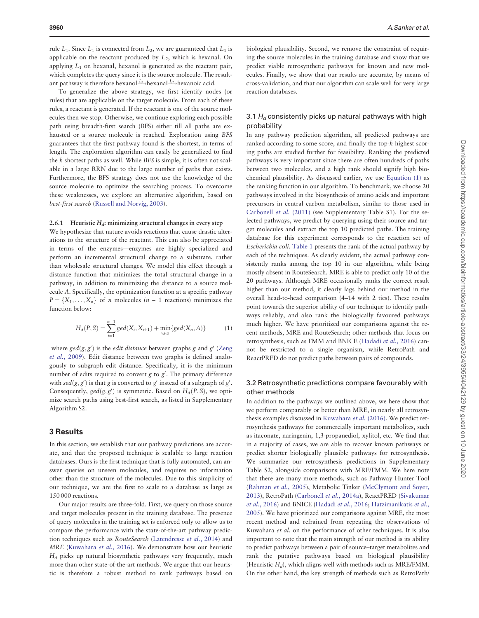rule  $L_1$ . Since  $L_1$  is connected from  $L_2$ , we are guaranteed that  $L_1$  is applicable on the reactant produced by  $L<sub>2</sub>$ , which is hexanal. On applying  $L_1$  on hexanal, hexanol is generated as the reactant pair, which completes the query since it is the source molecule. The resultant pathway is therefore hexanol  $\stackrel{L_1}{\longrightarrow}$ hexanal  $\stackrel{L_2}{\longrightarrow}$ hexanoic acid.

To generalize the above strategy, we first identify nodes (or rules) that are applicable on the target molecule. From each of these rules, a reactant is generated. If the reactant is one of the source molecules then we stop. Otherwise, we continue exploring each possible path using breadth-first search (BFS) either till all paths are exhausted or a source molecule is reached. Exploration using BFS guarantees that the first pathway found is the shortest, in terms of length. The exploration algorithm can easily be generalized to find the k shortest paths as well. While BFS is simple, it is often not scalable in a large RRN due to the large number of paths that exists. Furthermore, the BFS strategy does not use the knowledge of the source molecule to optimize the searching process. To overcome these weaknesses, we explore an alternative algorithm, based on best-first search ([Russell and Norvig, 2003\)](#page-8-0).

### 2.6.1 Heuristic  $H_d$ : minimizing structural changes in every step

We hypothesize that nature avoids reactions that cause drastic alterations to the structure of the reactant. This can also be appreciated in terms of the enzymes—enzymes are highly specialized and perform an incremental structural change to a substrate, rather than wholesale structural changes. We model this effect through a distance function that minimizes the total structural change in a pathway, in addition to minimizing the distance to a source molecule A. Specifically, the optimization function at a specific pathway  $P = \{X_1, \ldots, X_n\}$  of *n* molecules (*n* – 1 reactions) minimizes the function below:

$$
H_d(P, \mathbb{S}) = \sum_{i=1}^{n-1} \gcd(X_i, X_{i+1}) + \min_{\forall A \in \mathbb{S}} \{ \gcd(X_n, A) \}
$$
 (1)

where  $\gcd(g, g')$  is the *edit distance* between graphs g and g' [\(Zeng](#page-8-0)) et al.[, 2009\)](#page-8-0). Edit distance between two graphs is defined analogously to subgraph edit distance. Specifically, it is the minimum number of edits required to convert  $g$  to  $g'$ . The primary difference with  $\text{sed}(g, g')$  is that g is converted to g' instead of a subgraph of g'. Consequently,  $gcd(g, g')$  is symmetric. Based on  $H_d(P, \mathbb{S})$ , we optimize search paths using best-first search, as listed in Supplementary Algorithm S2.

### 3 Results

In this section, we establish that our pathway predictions are accurate, and that the proposed technique is scalable to large reaction databases. Ours is the first technique that is fully automated, can answer queries on unseen molecules, and requires no information other than the structure of the molecules. Due to this simplicity of our technique, we are the first to scale to a database as large as 150 000 reactions.

Our major results are three-fold. First, we query on those source and target molecules present in the training database. The presence of query molecules in the training set is enforced only to allow us to compare the performance with the state-of-the-art pathway prediction techniques such as RouteSearch ([Latendresse](#page-8-0) et al., 2014) and MRE [\(Kuwahara](#page-8-0) et al., 2016). We demonstrate how our heuristic  $H_d$  picks up natural biosynthetic pathways very frequently, much more than other state-of-the-art methods. We argue that our heuristic is therefore a robust method to rank pathways based on

biological plausibility. Second, we remove the constraint of requiring the source molecules in the training database and show that we predict viable retrosynthetic pathways for known and new molecules. Finally, we show that our results are accurate, by means of cross-validation, and that our algorithm can scale well for very large reaction databases.

### 3.1  $H_d$  consistently picks up natural pathways with high probability

In any pathway prediction algorithm, all predicted pathways are ranked according to some score, and finally the top-k highest scoring paths are studied further for feasibility. Ranking the predicted pathways is very important since there are often hundreds of paths between two molecules, and a high rank should signify high biochemical plausibility. As discussed earlier, we use Equation (1) as the ranking function in our algorithm. To benchmark, we choose 20 pathways involved in the biosynthesis of amino acids and important precursors in central carbon metabolism, similar to those used in [Carbonell](#page-8-0) et al. (2011) (see Supplementary Table S1). For the selected pathways, we predict by querying using their source and target molecules and extract the top 10 predicted paths. The training database for this experiment corresponds to the reaction set of Escherichia coli. [Table 1](#page-6-0) presents the rank of the actual pathway by each of the techniques. As clearly evident, the actual pathway consistently ranks among the top 10 in our algorithm, while being mostly absent in RouteSearch. MRE is able to predict only 10 of the 20 pathways. Although MRE occasionally ranks the correct result higher than our method, it clearly lags behind our method in the overall head-to-head comparison (4–14 with 2 ties). These results point towards the superior ability of our technique to identify pathways reliably, and also rank the biologically favoured pathways much higher. We have prioritized our comparisons against the recent methods, MRE and RouteSearch; other methods that focus on retrosynthesis, such as FMM and BNICE [\(Hadadi](#page-8-0) et al., 2016) cannot be restricted to a single organism, while RetroPath and ReactPRED do not predict paths between pairs of compounds.

### 3.2 Retrosynthetic predictions compare favourably with other methods

In addition to the pathways we outlined above, we here show that we perform comparably or better than MRE, in nearly all retrosynthesis examples discussed in [Kuwahara](#page-8-0) et al. (2016). We predict retrosynthesis pathways for commercially important metabolites, such as itaconate, naringenin, 1,3-propanediol, xylitol, etc. We find that in a majority of cases, we are able to recover known pathways or predict shorter biologically plausible pathways for retrosynthesis. We summarize our retrosynthesis predictions in Supplementary Table S2, alongside comparisons with MRE/FMM. We here note that there are many more methods, such as Pathway Hunter Tool ([Rahman](#page-8-0) et al., 2005), Metabolic Tinker ([McClymont and Soyer,](#page-8-0) [2013\)](#page-8-0), RetroPath ([Carbonell](#page-8-0) et al., 2014a), ReactPRED [\(Sivakumar](#page-8-0) et al.[, 2016](#page-8-0)) and BNICE ([Hadadi](#page-8-0) et al., 2016; [Hatzimanikatis](#page-8-0) et al., [2005\)](#page-8-0). We have prioritized our comparisons against MRE, the most recent method and refrained from repeating the observations of Kuwahara et al. on the performance of other techniques. It is also important to note that the main strength of our method is its ability to predict pathways between a pair of source–target metabolites and rank the putative pathways based on biological plausibility (Heuristic  $H_d$ ), which aligns well with methods such as MRE/FMM. On the other hand, the key strength of methods such as RetroPath/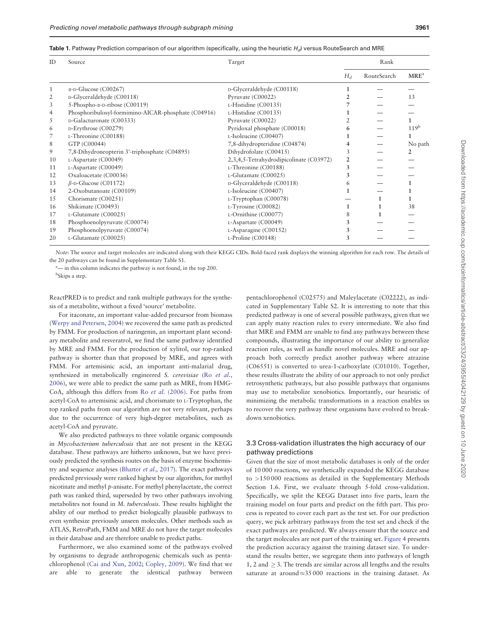| ID | Source                                              | Target                                  | Rank  |             |                  |
|----|-----------------------------------------------------|-----------------------------------------|-------|-------------|------------------|
|    |                                                     |                                         | $H_d$ | RouteSearch | MRE <sup>a</sup> |
|    | $\alpha$ -D-Glucose (C00267)                        | D-Glyceraldehyde (C00118)               |       |             |                  |
| 2  | D-Glyceraldehyde (C00118)                           | Pyruvate (C00022)                       |       |             | 13               |
| 3  | $5$ -Phospho- $\alpha$ -D-ribose (C00119)           | L-Histidine (C00135)                    |       |             |                  |
| 4  | Phosphoribulosyl-formimino-AICAR-phosphate (C04916) | L-Histidine (C00135)                    |       |             |                  |
| 5  | D-Galacturonate (C00333)                            | Pyruvate (C00022)                       |       |             |                  |
| 6  | D-Erythrose (C00279)                                | Pyridoxal phosphate (C00018)            | 6     |             | 119 <sup>b</sup> |
|    | L-Threonine (C00188)                                | L-Isoleucine (C00407)                   |       |             | 1                |
| 8  | GTP (C00044)                                        | 7,8-dihydropteridine (C04874)           | 4     |             | No path          |
| 9  | 7,8-Dihydroneopterin 3'-triphosphate (C04895)       | Dihydrofolate (C00415)                  | 3     |             | 2                |
| 10 | L-Aspartate (C00049)                                | 2,3,4,5-Tetrahydrodipicolinate (C03972) | 2     |             |                  |
| 11 | $L$ -Aspartate (C00049)                             | L-Threonine (C00188)                    | 3     |             |                  |
| 12 | Oxaloacetate (C00036)                               | L-Glutamate (C00025)                    | 3     |             |                  |
| 13 | $\beta$ -D-Glucose (C01172)                         | D-Glyceraldehyde (C00118)               | 6     |             |                  |
| 14 | 2-Oxobutanoate (C00109)                             | L-Isoleucine (C00407)                   |       |             |                  |
| 15 | Chorismate (C00251)                                 | L-Tryptophan (C00078)                   |       |             |                  |
| 16 | Shikimate (C00493)                                  | L-Tyrosine (C00082)                     |       |             | 38               |
| 17 | L-Glutamate (C00025)                                | L-Ornithine (C00077)                    | 8     |             |                  |
| 18 | Phosphoenolpyruvate (C00074)                        | L-Aspartate (C00049)                    | 3     |             |                  |
| 19 | Phosphoenolpyruvate (C00074)                        | $L$ -Asparagine (C00152)                | 3     |             |                  |
| 20 | L-Glutamate (C00025)                                | L-Proline (C00148)                      | 3     |             |                  |

<span id="page-6-0"></span>Table 1. Pathway Prediction comparison of our algorithm (specifically, using the heuristic H<sub>d</sub>) versus RouteSearch and MRE

Note: The source and target molecules are indicated along with their KEGG CIDs. Bold-faced rank displays the winning algorithm for each row. The details of the 20 pathways can be found in Supplementary Table S1.

<sup>a</sup>— in this column indicates the pathway is not found, in the top 200.

<sup>b</sup>Skips a step.

ReactPRED is to predict and rank multiple pathways for the synthesis of a metabolite, without a fixed 'source' metabolite.

For itaconate, an important value-added precursor from biomass ([Werpy and Petersen, 2004\)](#page-8-0) we recovered the same path as predicted by FMM. For production of naringenin, an important plant secondary metabolite and resveratrol, we find the same pathway identified by MRE and FMM. For the production of xylitol, our top-ranked pathway is shorter than that proposed by MRE, and agrees with FMM. For artemisinic acid, an important anti-malarial drug, synthesized in metabolically engineered S. cerevisiae (Ro [et al.](#page-8-0), [2006\)](#page-8-0), we were able to predict the same path as MRE, from HMG-CoA, although this differs from Ro et al. [\(2006\)](#page-8-0). For paths from acetyl-CoA to artemisinic acid, and chorismate to L-Tryptophan, the top ranked paths from our algorithm are not very relevant, perhaps due to the occurrence of very high-degree metabolites, such as acetyl-CoA and pyruvate.

We also predicted pathways to three volatile organic compounds in Mycobacterium tuberculosis that are not present in the KEGG database. These pathways are hitherto unknown, but we have previously predicted the synthesis routes on the basis of enzyme biochemis-try and sequence analyses ([Bhatter](#page-8-0) et al., 2017). The exact pathways predicted previously were ranked highest by our algorithm, for methyl nicotinate and methyl p-anisate. For methyl phenylacetate, the correct path was ranked third, superseded by two other pathways involving metabolites not found in M. tuberculosis. These results highlight the ability of our method to predict biologically plausible pathways to even synthesize previously unseen molecules. Other methods such as ATLAS, RetroPath, FMM and MRE do not have the target molecules in their database and are therefore unable to predict paths.

Furthermore, we also examined some of the pathways evolved by organisms to degrade anthropogenic chemicals such as pentachlorophenol ([Cai and Xun, 2002](#page-8-0); [Copley, 2009](#page-8-0)). We find that we are able to generate the identical pathway between pentachlorophenol (C02575) and Maleylacetate (C02222), as indicated in Supplementary Table S2. It is interesting to note that this predicted pathway is one of several possible pathways, given that we can apply many reaction rules to every intermediate. We also find that MRE and FMM are unable to find any pathways between these compounds, illustrating the importance of our ability to generalize reaction rules, as well as handle novel molecules. MRE and our approach both correctly predict another pathway where atrazine (C06551) is converted to urea-1-carboxylate (C01010). Together, these results illustrate the ability of our approach to not only predict retrosynthetic pathways, but also possible pathways that organisms may use to metabolize xenobiotics. Importantly, our heuristic of minimizing the metabolic transformations in a reaction enables us to recover the very pathway these organisms have evolved to breakdown xenobiotics.

### 3.3 Cross-validation illustrates the high accuracy of our pathway predictions

Given that the size of most metabolic databases is only of the order of 10 000 reactions, we synthetically expanded the KEGG database to >150 000 reactions as detailed in the Supplementary Methods Section 1.6. First, we evaluate through 5-fold cross-validation. Specifically, we split the KEGG Dataset into five parts, learn the training model on four parts and predict on the fifth part. This process is repeated to cover each part as the test set. For our prediction query, we pick arbitrary pathways from the test set and check if the exact pathways are predicted. We always ensure that the source and the target molecules are not part of the training set. [Figure 4](#page-7-0) presents the prediction accuracy against the training dataset size. To understand the results better, we segregate them into pathways of length 1, 2 and  $>$  3. The trends are similar across all lengths and the results saturate at around  $\approx$  35 000 reactions in the training dataset. As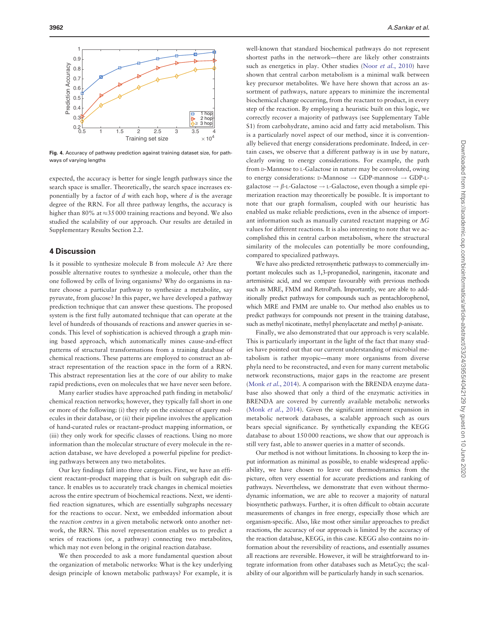<span id="page-7-0"></span>

Fig. 4. Accuracy of pathway prediction against training dataset size, for pathways of varying lengths

expected, the accuracy is better for single length pathways since the search space is smaller. Theoretically, the search space increases exponentially by a factor of  $d$  with each hop, where  $d$  is the average degree of the RRN. For all three pathway lengths, the accuracy is higher than 80% at  $\approx$ 35 000 training reactions and beyond. We also studied the scalability of our approach. Our results are detailed in Supplementary Results Section 2.2.

### 4 Discussion

Is it possible to synthesize molecule B from molecule A? Are there possible alternative routes to synthesize a molecule, other than the one followed by cells of living organisms? Why do organisms in nature choose a particular pathway to synthesize a metabolite, say pyruvate, from glucose? In this paper, we have developed a pathway prediction technique that can answer these questions. The proposed system is the first fully automated technique that can operate at the level of hundreds of thousands of reactions and answer queries in seconds. This level of sophistication is achieved through a graph mining based approach, which automatically mines cause-and-effect patterns of structural transformations from a training database of chemical reactions. These patterns are employed to construct an abstract representation of the reaction space in the form of a RRN. This abstract representation lies at the core of our ability to make rapid predictions, even on molecules that we have never seen before.

Many earlier studies have approached path finding in metabolic/ chemical reaction networks; however, they typically fall short in one or more of the following: (i) they rely on the existence of query molecules in their database, or (ii) their pipeline involves the application of hand-curated rules or reactant–product mapping information, or (iii) they only work for specific classes of reactions. Using no more information than the molecular structure of every molecule in the reaction database, we have developed a powerful pipeline for predicting pathways between any two metabolites.

Our key findings fall into three categories. First, we have an efficient reactant–product mapping that is built on subgraph edit distance. It enables us to accurately track changes in chemical moieties across the entire spectrum of biochemical reactions. Next, we identified reaction signatures, which are essentially subgraphs necessary for the reactions to occur. Next, we embedded information about the reaction centres in a given metabolic network onto another network, the RRN. This novel representation enables us to predict a series of reactions (or, a pathway) connecting two metabolites, which may not even belong in the original reaction database.

We then proceeded to ask a more fundamental question about the organization of metabolic networks: What is the key underlying design principle of known metabolic pathways? For example, it is

well-known that standard biochemical pathways do not represent shortest paths in the network—there are likely other constraints such as energetics in play. Other studies (Noor et al.[, 2010](#page-8-0)) have shown that central carbon metabolism is a minimal walk between key precursor metabolites. We have here shown that across an assortment of pathways, nature appears to minimize the incremental biochemical change occurring, from the reactant to product, in every step of the reaction. By employing a heuristic built on this logic, we correctly recover a majority of pathways (see Supplementary Table S1) from carbohydrate, amino acid and fatty acid metabolism. This is a particularly novel aspect of our method, since it is conventionally believed that energy considerations predominate. Indeed, in certain cases, we observe that a different pathway is in use by nature, clearly owing to energy considerations. For example, the path from D-Mannose to L-Galactose in nature may be convoluted, owing to energy considerations: D-Mannose  $\rightarrow$  GDP-mannose  $\rightarrow$  GDP-Lgalactose  $\rightarrow \beta$ -L-Galactose  $\rightarrow$  L-Galactose, even though a simple epimerization reaction may theoretically be possible. It is important to note that our graph formalism, coupled with our heuristic has enabled us make reliable predictions, even in the absence of important information such as manually curated reactant mapping or  $\Delta G$ values for different reactions. It is also interesting to note that we accomplished this in central carbon metabolism, where the structural similarity of the molecules can potentially be more confounding, compared to specialized pathways.

We have also predicted retrosynthetic pathways to commercially important molecules such as 1,3-propanediol, naringenin, itaconate and artemisinic acid, and we compare favourably with previous methods such as MRE, FMM and RetroPath. Importantly, we are able to additionally predict pathways for compounds such as pentachlorophenol, which MRE and FMM are unable to. Our method also enables us to predict pathways for compounds not present in the training database, such as methyl nicotinate, methyl phenylacetate and methyl p-anisate.

Finally, we also demonstrated that our approach is very scalable. This is particularly important in the light of the fact that many studies have pointed out that our current understanding of microbial metabolism is rather myopic—many more organisms from diverse phyla need to be reconstructed, and even for many current metabolic network reconstructions, major gaps in the reactome are present (Monk et al.[, 2014\)](#page-8-0). A comparison with the BRENDA enzyme database also showed that only a third of the enzymatic activities in BRENDA are covered by currently available metabolic networks (Monk et al.[, 2014](#page-8-0)). Given the significant imminent expansion in metabolic network databases, a scalable approach such as ours bears special significance. By synthetically expanding the KEGG database to about 150 000 reactions, we show that our approach is still very fast, able to answer queries in a matter of seconds.

Our method is not without limitations. In choosing to keep the input information as minimal as possible, to enable widespread applicability, we have chosen to leave out thermodynamics from the picture, often very essential for accurate predictions and ranking of pathways. Nevertheless, we demonstrate that even without thermodynamic information, we are able to recover a majority of natural biosynthetic pathways. Further, it is often difficult to obtain accurate measurements of changes in free energy, especially those which are organism-specific. Also, like most other similar approaches to predict reactions, the accuracy of our approach is limited by the accuracy of the reaction database, KEGG, in this case. KEGG also contains no information about the reversibility of reactions, and essentially assumes all reactions are reversible. However, it will be straightforward to integrate information from other databases such as MetaCyc; the scalability of our algorithm will be particularly handy in such scenarios.